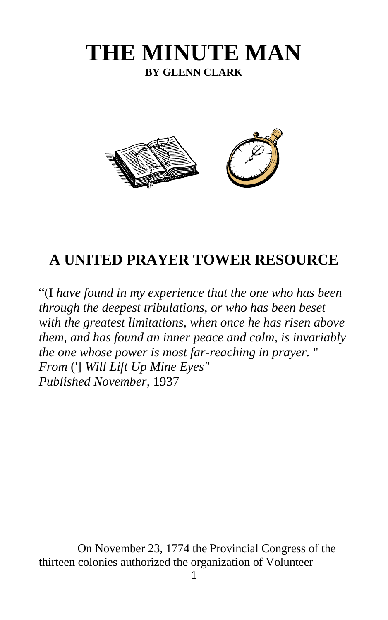# **THE MINUTE MAN BY GLENN CLARK**



## **A UNITED PRAYER TOWER RESOURCE**

"(I *have found in my experience that the one who has been through the deepest tribulations, or who has been beset with the greatest limitations, when once he has risen above them, and has found an inner peace and calm, is invariably the one whose power is most far-reaching in prayer.* " *From* ('] *Will Lift Up Mine Eyes" Published November,* 1937

On November 23, 1774 the Provincial Congress of the thirteen colonies authorized the organization of Volunteer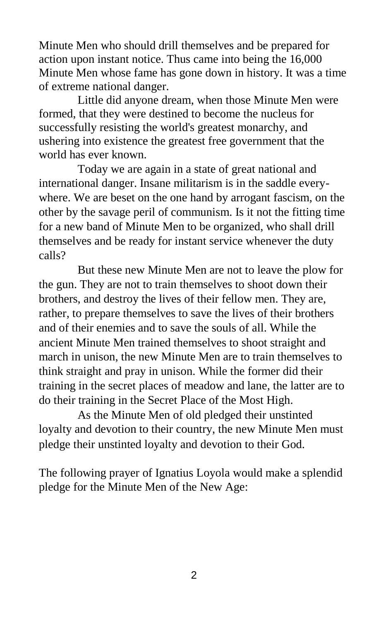Minute Men who should drill themselves and be prepared for action upon instant notice. Thus came into being the 16,000 Minute Men whose fame has gone down in history. It was a time of extreme national danger.

Little did anyone dream, when those Minute Men were formed, that they were destined to become the nucleus for successfully resisting the world's greatest monarchy, and ushering into existence the greatest free government that the world has ever known.

Today we are again in a state of great national and international danger. Insane militarism is in the saddle everywhere. We are beset on the one hand by arrogant fascism, on the other by the savage peril of communism. Is it not the fitting time for a new band of Minute Men to be organized, who shall drill themselves and be ready for instant service whenever the duty calls?

But these new Minute Men are not to leave the plow for the gun. They are not to train themselves to shoot down their brothers, and destroy the lives of their fellow men. They are, rather, to prepare themselves to save the lives of their brothers and of their enemies and to save the souls of all. While the ancient Minute Men trained themselves to shoot straight and march in unison, the new Minute Men are to train themselves to think straight and pray in unison. While the former did their training in the secret places of meadow and lane, the latter are to do their training in the Secret Place of the Most High.

As the Minute Men of old pledged their unstinted loyalty and devotion to their country, the new Minute Men must pledge their unstinted loyalty and devotion to their God.

The following prayer of Ignatius Loyola would make a splendid pledge for the Minute Men of the New Age: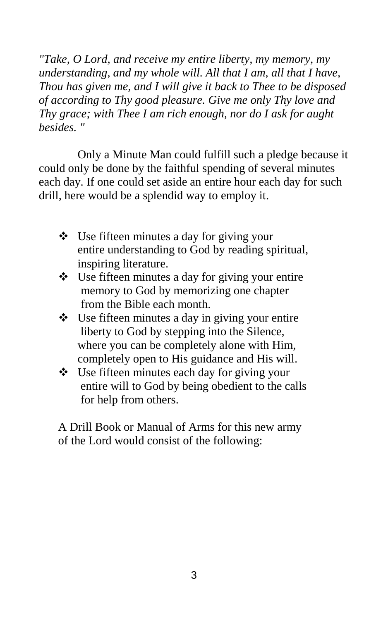*"Take, O Lord, and receive my entire liberty, my memory, my understanding, and my whole will. All that I am, all that I have, Thou has given me, and I will give it back to Thee to be disposed of according to Thy good pleasure. Give me only Thy love and Thy grace; with Thee I am rich enough, nor do I ask for aught besides. "* 

Only a Minute Man could fulfill such a pledge because it could only be done by the faithful spending of several minutes each day. If one could set aside an entire hour each day for such drill, here would be a splendid way to employ it.

- Use fifteen minutes a day for giving your entire understanding to God by reading spiritual, inspiring literature.
- $\bullet$  Use fifteen minutes a day for giving your entire memory to God by memorizing one chapter from the Bible each month.
- $\bullet$  Use fifteen minutes a day in giving your entire liberty to God by stepping into the Silence, where you can be completely alone with Him, completely open to His guidance and His will.
- Use fifteen minutes each day for giving your entire will to God by being obedient to the calls for help from others.

A Drill Book or Manual of Arms for this new army of the Lord would consist of the following: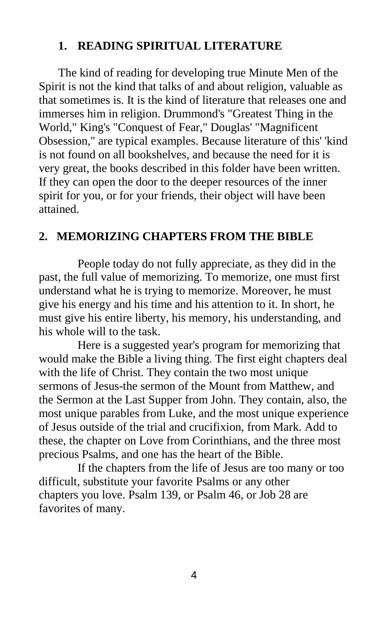#### **1. READING SPIRITUAL LITERATURE**

The kind of reading for developing true Minute Men of the Spirit is not the kind that talks of and about religion, valuable as that sometimes is. It is the kind of literature that releases one and immerses him in religion. Drummond's "Greatest Thing in the World," King's "Conquest of Fear," Douglas' "Magnificent Obsession," are typical examples. Because literature of this' 'kind is not found on all bookshelves, and because the need for it is very great, the books described in this folder have been written. If they can open the door to the deeper resources of the inner spirit for you, or for your friends, their object will have been attained.

#### **2. MEMORIZING CHAPTERS FROM THE BIBLE**

People today do not fully appreciate, as they did in the past, the full value of memorizing. To memorize, one must first understand what he is trying to memorize. Moreover, he must give his energy and his time and his attention to it. In short, he must give his entire liberty, his memory, his understanding, and his whole will to the task.

Here is a suggested year's program for memorizing that would make the Bible a living thing. The first eight chapters deal with the life of Christ. They contain the two most unique sermons of Jesus-the sermon of the Mount from Matthew, and the Sermon at the Last Supper from John. They contain, also, the most unique parables from Luke, and the most unique experience of Jesus outside of the trial and crucifixion, from Mark. Add to these, the chapter on Love from Corinthians, and the three most precious Psalms, and one has the heart of the Bible.

If the chapters from the life of Jesus are too many or too difficult, substitute your favorite Psalms or any other chapters you love. Psalm 139, or Psalm 46, or Job 28 are favorites of many.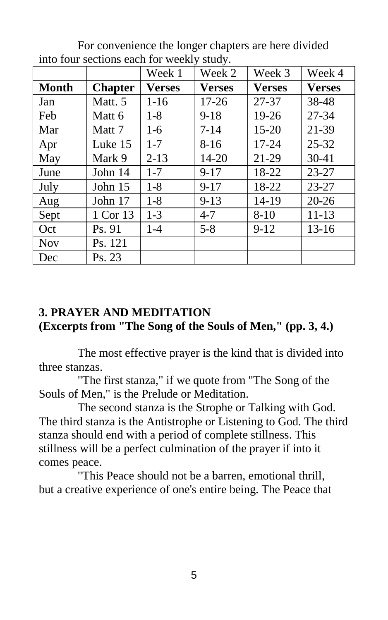|            |                | Week 1   | Week 2        | Week 3        | Week 4        |
|------------|----------------|----------|---------------|---------------|---------------|
| Month      | <b>Chapter</b> | Verses   | <b>Verses</b> | <b>Verses</b> | <b>Verses</b> |
| Jan        | Matt. 5        | $1-16$   | 17-26         | 27-37         | 38-48         |
| Feb        | Matt 6         | $1-8$    | $9-18$        | 19-26         | 27-34         |
| Mar        | Matt 7         | $1-6$    | $7 - 14$      | $15 - 20$     | 21-39         |
| Apr        | Luke 15        | $1 - 7$  | $8-16$        | 17-24         | $25 - 32$     |
| May        | Mark 9         | $2 - 13$ | 14-20         | 21-29         | $30-41$       |
| June       | John 14        | $1 - 7$  | $9 - 17$      | 18-22         | $23 - 27$     |
| July       | John $15$      | $1 - 8$  | $9 - 17$      | 18-22         | 23-27         |
| Aug        | John 17        | $1-8$    | $9 - 13$      | 14-19         | $20 - 26$     |
| Sept       | 1 Cor 13       | $1 - 3$  | $4 - 7$       | $8 - 10$      | $11 - 13$     |
| Oct        | Ps. 91         | $1-4$    | $5 - 8$       | $9 - 12$      | $13-16$       |
| <b>Nov</b> | Ps. 121        |          |               |               |               |
| Dec        | Ps. 23         |          |               |               |               |

For convenience the longer chapters are here divided into four sections each for weekly study.

#### **3. PRAYER AND MEDITATION (Excerpts from "The Song of the Souls of Men," (pp. 3, 4.)**

The most effective prayer is the kind that is divided into three stanzas.

"The first stanza," if we quote from "The Song of the Souls of Men," is the Prelude or Meditation.

The second stanza is the Strophe or Talking with God. The third stanza is the Antistrophe or Listening to God. The third stanza should end with a period of complete stillness. This stillness will be a perfect culmination of the prayer if into it comes peace.

"This Peace should not be a barren, emotional thrill, but a creative experience of one's entire being. The Peace that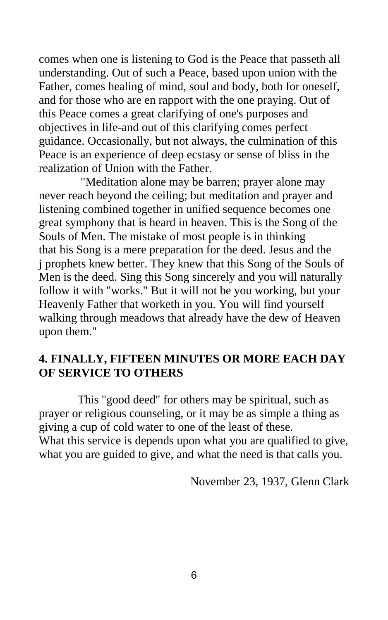comes when one is listening to God is the Peace that passeth all understanding. Out of such a Peace, based upon union with the Father, comes healing of mind, soul and body, both for oneself, and for those who are en rapport with the one praying. Out of this Peace comes a great clarifying of one's purposes and objectives in life-and out of this clarifying comes perfect guidance. Occasionally, but not always, the culmination of this Peace is an experience of deep ecstasy or sense of bliss in the realization of Union with the Father.

"Meditation alone may be barren; prayer alone may never reach beyond the ceiling; but meditation and prayer and listening combined together in unified sequence becomes one great symphony that is heard in heaven. This is the Song of the Souls of Men. The mistake of most people is in thinking that his Song is a mere preparation for the deed. Jesus and the j prophets knew better. They knew that this Song of the Souls of Men is the deed. Sing this Song sincerely and you will naturally follow it with "works." But it will not be you working, but your Heavenly Father that worketh in you. You will find yourself walking through meadows that already have the dew of Heaven upon them."

#### **4. FINALLY, FIFTEEN MINUTES OR MORE EACH DAY OF SERVICE TO OTHERS**

This "good deed" for others may be spiritual, such as prayer or religious counseling, or it may be as simple a thing as giving a cup of cold water to one of the least of these. What this service is depends upon what you are qualified to give, what you are guided to give, and what the need is that calls you.

November 23, 1937, Glenn Clark